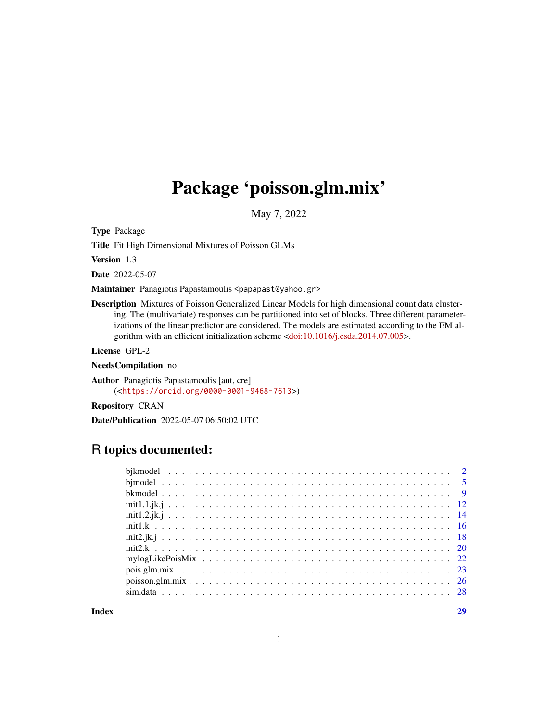## Package 'poisson.glm.mix'

May 7, 2022

Type Package

Title Fit High Dimensional Mixtures of Poisson GLMs

Version 1.3

Date 2022-05-07

Maintainer Panagiotis Papastamoulis <papapast@yahoo.gr>

Description Mixtures of Poisson Generalized Linear Models for high dimensional count data clustering. The (multivariate) responses can be partitioned into set of blocks. Three different parameterizations of the linear predictor are considered. The models are estimated according to the EM algorithm with an efficient initialization scheme [<doi:10.1016/j.csda.2014.07.005>](https://doi.org/10.1016/j.csda.2014.07.005).

License GPL-2

NeedsCompilation no

Author Panagiotis Papastamoulis [aut, cre] (<<https://orcid.org/0000-0001-9468-7613>>)

Repository CRAN

Date/Publication 2022-05-07 06:50:02 UTC

## R topics documented:

**Index** [29](#page-28-0)

1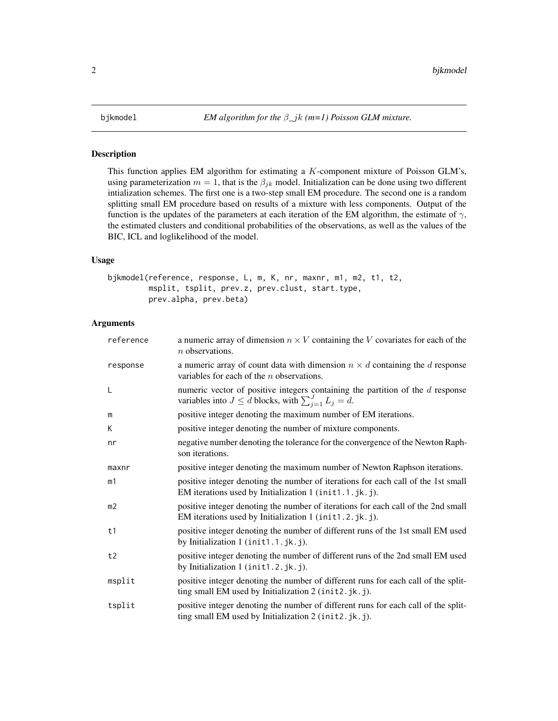### <span id="page-1-1"></span><span id="page-1-0"></span>Description

This function applies EM algorithm for estimating a  $K$ -component mixture of Poisson GLM's, using parameterization  $m = 1$ , that is the  $\beta_{jk}$  model. Initialization can be done using two different intialization schemes. The first one is a two-step small EM procedure. The second one is a random splitting small EM procedure based on results of a mixture with less components. Output of the function is the updates of the parameters at each iteration of the EM algorithm, the estimate of  $\gamma$ , the estimated clusters and conditional probabilities of the observations, as well as the values of the BIC, ICL and loglikelihood of the model.

### Usage

```
bjkmodel(reference, response, L, m, K, nr, maxnr, m1, m2, t1, t2,
        msplit, tsplit, prev.z, prev.clust, start.type,
         prev.alpha, prev.beta)
```

| reference      | a numeric array of dimension $n \times V$ containing the V covariates for each of the<br>$n$ observations.                                           |
|----------------|------------------------------------------------------------------------------------------------------------------------------------------------------|
| response       | a numeric array of count data with dimension $n \times d$ containing the d response<br>variables for each of the $n$ observations.                   |
| L              | numeric vector of positive integers containing the partition of the $d$ response<br>variables into $J \le d$ blocks, with $\sum_{i=1}^{J} L_j = d$ . |
| m              | positive integer denoting the maximum number of EM iterations.                                                                                       |
| K              | positive integer denoting the number of mixture components.                                                                                          |
| nr             | negative number denoting the tolerance for the convergence of the Newton Raph-<br>son iterations.                                                    |
| maxnr          | positive integer denoting the maximum number of Newton Raphson iterations.                                                                           |
| m1             | positive integer denoting the number of iterations for each call of the 1st small<br>EM iterations used by Initialization 1 (init1.1.jk.j).          |
| m <sub>2</sub> | positive integer denoting the number of iterations for each call of the 2nd small<br>EM iterations used by Initialization 1 (init1.2.jk.j).          |
| t1             | positive integer denoting the number of different runs of the 1st small EM used<br>by Initialization 1 (init1.1.jk.j).                               |
| t2             | positive integer denoting the number of different runs of the 2nd small EM used<br>by Initialization 1 (init1.2.jk.j).                               |
| msplit         | positive integer denoting the number of different runs for each call of the split-<br>ting small EM used by Initialization 2 (init2.jk.j).           |
| tsplit         | positive integer denoting the number of different runs for each call of the split-<br>ting small EM used by Initialization 2 (init2.jk.j).           |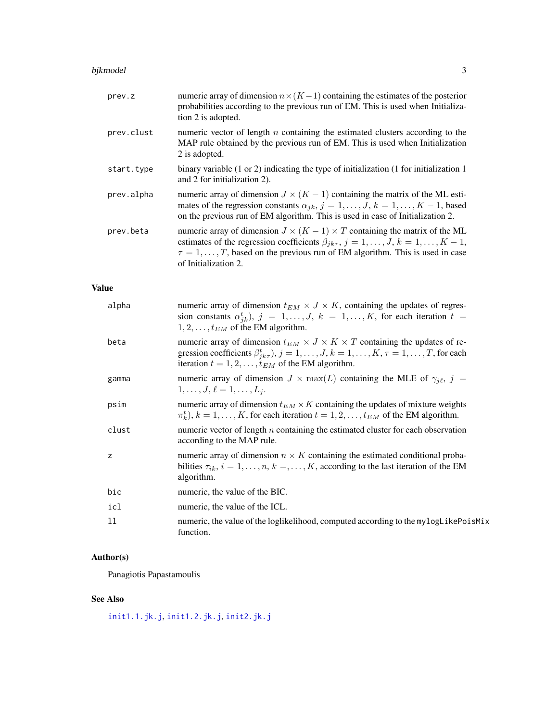### <span id="page-2-0"></span>bjkmodel 33 states and 33 states and 33 states and 33 states and 33 states and 33 states and 33 states and 33 states and 33 states and 33 states and 33 states and 33 states and 33 states and 33 states and 33 states and 33

| prev.z       | numeric array of dimension $n \times (K-1)$ containing the estimates of the posterior<br>probabilities according to the previous run of EM. This is used when Initializa-<br>tion 2 is adopted.                                                                                                                  |
|--------------|------------------------------------------------------------------------------------------------------------------------------------------------------------------------------------------------------------------------------------------------------------------------------------------------------------------|
| prev.clust   | numeric vector of length $n$ containing the estimated clusters according to the<br>MAP rule obtained by the previous run of EM. This is used when Initialization<br>2 is adopted.                                                                                                                                |
| start.type   | binary variable $(1 \text{ or } 2)$ indicating the type of initialization $(1 \text{ for initialization } 1)$<br>and 2 for initialization 2).                                                                                                                                                                    |
| prev.alpha   | numeric array of dimension $J \times (K - 1)$ containing the matrix of the ML esti-<br>mates of the regression constants $\alpha_{jk}$ , $j = 1, , J$ , $k = 1, , K - 1$ , based<br>on the previous run of EM algorithm. This is used in case of Initialization 2.                                               |
| prev.beta    | numeric array of dimension $J \times (K - 1) \times T$ containing the matrix of the ML<br>estimates of the regression coefficients $\beta_{jk\tau}, j = 1, \ldots, J, k = 1, \ldots, K - 1$ ,<br>$\tau = 1, \ldots, T$ , based on the previous run of EM algorithm. This is used in case<br>of Initialization 2. |
| <b>Value</b> |                                                                                                                                                                                                                                                                                                                  |
| alpha        | numeric array of dimension $t_{EM} \times J \times K$ , containing the updates of regres-<br>sion constants $\alpha_{jk}^t$ , $j = 1, , J$ , $k = 1, , K$ , for each iteration $t =$<br>$1, 2, \ldots, t_{EM}$ of the EM algorithm.                                                                              |
| beta         | numeric array of dimension $t_{EM} \times J \times K \times T$ containing the updates of re-<br>gression coefficients $\beta^t_{ik\tau}$ , $j = 1, \ldots, J$ , $k = 1, \ldots, K$ , $\tau = 1, \ldots, T$ , for each<br>iteration $t = 1, 2, \dots, t_{EM}$ of the EM algorithm.                                |
| gamma        | numeric array of dimension $J \times \max(L)$ containing the MLE of $\gamma_{j\ell}, j =$<br>$1, \ldots, J, \ell = 1, \ldots, L_i.$                                                                                                                                                                              |
| psim         | numeric array of dimension $t_{EM} \times K$ containing the updates of mixture weights<br>$\pi_k^t$ , $k = 1, \ldots, K$ , for each iteration $t = 1, 2, \ldots, t_{EM}$ of the EM algorithm.                                                                                                                    |
| clust        | numeric vector of length $n$ containing the estimated cluster for each observation<br>according to the MAP rule.                                                                                                                                                                                                 |
| z            | numeric array of dimension $n \times K$ containing the estimated conditional proba-<br>bilities $\tau_{ik}$ , $i = 1, \ldots, n$ , $k =, \ldots, K$ , according to the last iteration of the EM<br>algorithm.                                                                                                    |
| bic          | numeric, the value of the BIC.                                                                                                                                                                                                                                                                                   |
| icl          | numeric, the value of the ICL.                                                                                                                                                                                                                                                                                   |
| 11           | numeric, the value of the loglikelihood, computed according to the mylogLikePoisMix<br>function.                                                                                                                                                                                                                 |

### Author(s)

Panagiotis Papastamoulis

### See Also

[init1.1.jk.j](#page-11-1), [init1.2.jk.j](#page-13-1), [init2.jk.j](#page-17-1)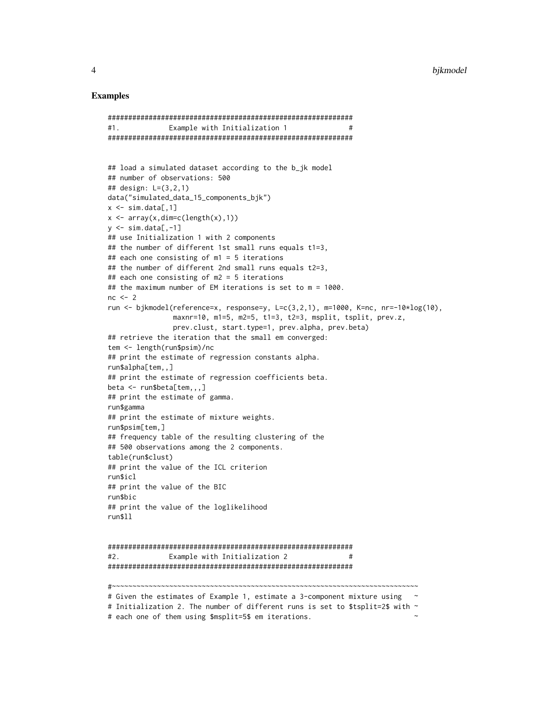### Examples

```
#1. Example with Initialization 1 #
############################################################
## load a simulated dataset according to the b_jk model
## number of observations: 500
## design: L=(3,2,1)
data("simulated_data_15_components_bjk")
x \leq -\sin \cdot \frac{\pi}{2}x \leftarrow \text{array}(x, \text{dim=c}(\text{length}(x), 1))y \le -\sin \cdot \frac{\pi}{2}## use Initialization 1 with 2 components
## the number of different 1st small runs equals t1=3,
## each one consisting of m1 = 5 iterations
## the number of different 2nd small runs equals t2=3,
## each one consisting of m2 = 5 iterations
## the maximum number of EM iterations is set to m = 1000.
nc < -2run <- bjkmodel(reference=x, response=y, L=c(3,2,1), m=1000, K=nc, nr=-10*log(10),
                maxnr=10, m1=5, m2=5, t1=3, t2=3, msplit, tsplit, prev.z,
                prev.clust, start.type=1, prev.alpha, prev.beta)
## retrieve the iteration that the small em converged:
tem <- length(run$psim)/nc
## print the estimate of regression constants alpha.
run$alpha[tem,,]
## print the estimate of regression coefficients beta.
beta <- run$beta[tem,,,]
## print the estimate of gamma.
run$gamma
## print the estimate of mixture weights.
run$psim[tem,]
## frequency table of the resulting clustering of the
## 500 observations among the 2 components.
table(run$clust)
## print the value of the ICL criterion
run$icl
## print the value of the BIC
run$bic
## print the value of the loglikelihood
run$ll
############################################################
#2. Example with Initialization 2 #
############################################################
                          #~~~~~~~~~~~~~~~~~~~~~~~~~~~~~~~~~~~~~~~~~~~~~~~~~~~~~~~~~~~~~~~~~~~~~~~~~~~
# Given the estimates of Example 1, estimate a 3-component mixture using ~
# Initialization 2. The number of different runs is set to $tsplit=2$ with \sim# each one of them using $msplit=5$ em iterations. ~
```
############################################################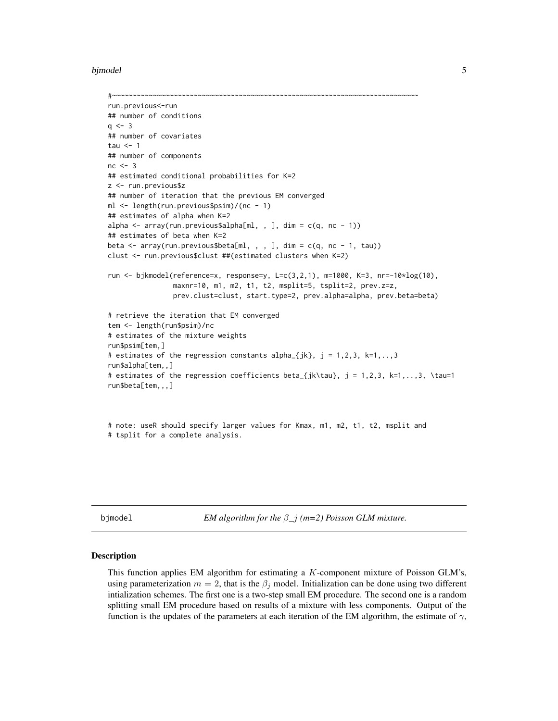#### <span id="page-4-0"></span>bjmodel 50 metal 6 metal 1999 en 1999 en 1999 en 1999 en 1999 en 1999 en 1999 en 1999 en 1999 en 1999 en 1999

```
#~~~~~~~~~~~~~~~~~~~~~~~~~~~~~~~~~~~~~~~~~~~~~~~~~~~~~~~~~~~~~~~~~~~~~~~~~~~
run.previous<-run
## number of conditions
q \le -3## number of covariates
tau <-1## number of components
nc < -3## estimated conditional probabilities for K=2
z <- run.previous$z
## number of iteration that the previous EM converged
ml <- length(run.previous$psim)/(nc - 1)
## estimates of alpha when K=2
alpha \leq array(run.previous$alpha[ml, , ], dim = c(q, nc - 1))
## estimates of beta when K=2
beta \leq array(run.previous$beta[ml, , , ], dim = c(q, nc - 1, tau))
clust <- run.previous$clust ##(estimated clusters when K=2)
run <- bjkmodel(reference=x, response=y, L=c(3,2,1), m=1000, K=3, nr=-10*log(10),
                maxnr=10, m1, m2, t1, t2, msplit=5, tsplit=2, prev.z=z,
                prev.clust=clust, start.type=2, prev.alpha=alpha, prev.beta=beta)
# retrieve the iteration that EM converged
tem <- length(run$psim)/nc
# estimates of the mixture weights
run$psim[tem,]
# estimates of the regression constants alpha_{jk}, j = 1, 2, 3, k=1, \ldots, 3run$alpha[tem,,]
# estimates of the regression coefficients beta_{jk\tau}, j = 1,2,3, k=1,..,3, \tau=1
run$beta[tem,,,]
```

```
# note: useR should specify larger values for Kmax, m1, m2, t1, t2, msplit and
# tsplit for a complete analysis.
```
<span id="page-4-1"></span>bjmodel *EM algorithm for the* β*\_*j *(m=2) Poisson GLM mixture.*

### Description

This function applies EM algorithm for estimating a K-component mixture of Poisson GLM's, using parameterization  $m = 2$ , that is the  $\beta_i$  model. Initialization can be done using two different intialization schemes. The first one is a two-step small EM procedure. The second one is a random splitting small EM procedure based on results of a mixture with less components. Output of the function is the updates of the parameters at each iteration of the EM algorithm, the estimate of  $\gamma$ ,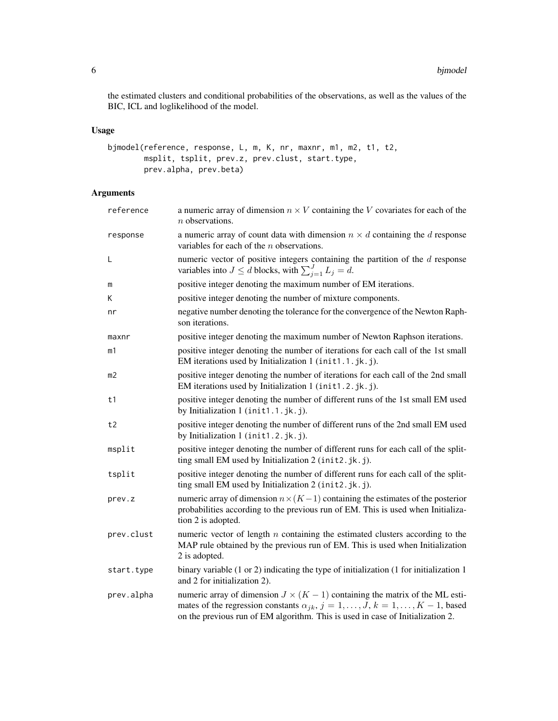the estimated clusters and conditional probabilities of the observations, as well as the values of the BIC, ICL and loglikelihood of the model.

### Usage

```
bjmodel(reference, response, L, m, K, nr, maxnr, m1, m2, t1, t2,
       msplit, tsplit, prev.z, prev.clust, start.type,
        prev.alpha, prev.beta)
```

| reference  | a numeric array of dimension $n \times V$ containing the V covariates for each of the<br>$n$ observations.                                                                                                                                                         |
|------------|--------------------------------------------------------------------------------------------------------------------------------------------------------------------------------------------------------------------------------------------------------------------|
| response   | a numeric array of count data with dimension $n \times d$ containing the d response<br>variables for each of the $n$ observations.                                                                                                                                 |
| Г          | numeric vector of positive integers containing the partition of the $d$ response<br>variables into $J \le d$ blocks, with $\sum_{j=1}^{J} L_j = d$ .                                                                                                               |
| m          | positive integer denoting the maximum number of EM iterations.                                                                                                                                                                                                     |
| K          | positive integer denoting the number of mixture components.                                                                                                                                                                                                        |
| nr         | negative number denoting the tolerance for the convergence of the Newton Raph-<br>son iterations.                                                                                                                                                                  |
| maxnr      | positive integer denoting the maximum number of Newton Raphson iterations.                                                                                                                                                                                         |
| m1         | positive integer denoting the number of iterations for each call of the 1st small<br>EM iterations used by Initialization 1 (init1.1.jk.j).                                                                                                                        |
| m2         | positive integer denoting the number of iterations for each call of the 2nd small<br>EM iterations used by Initialization 1 (init1.2.jk.j).                                                                                                                        |
| t1         | positive integer denoting the number of different runs of the 1st small EM used<br>by Initialization 1 (init1.1.jk.j).                                                                                                                                             |
| t2         | positive integer denoting the number of different runs of the 2nd small EM used<br>by Initialization 1 (init1.2.jk.j).                                                                                                                                             |
| msplit     | positive integer denoting the number of different runs for each call of the split-<br>ting small EM used by Initialization 2 (init2.jk.j).                                                                                                                         |
| tsplit     | positive integer denoting the number of different runs for each call of the split-<br>ting small EM used by Initialization 2 (init2.jk.j).                                                                                                                         |
| prev.z     | numeric array of dimension $n \times (K-1)$ containing the estimates of the posterior<br>probabilities according to the previous run of EM. This is used when Initializa-<br>tion 2 is adopted.                                                                    |
| prev.clust | numeric vector of length $n$ containing the estimated clusters according to the<br>MAP rule obtained by the previous run of EM. This is used when Initialization<br>2 is adopted.                                                                                  |
| start.type | binary variable $(1 \text{ or } 2)$ indicating the type of initialization $(1 \text{ for initialization } 1)$<br>and 2 for initialization 2).                                                                                                                      |
| prev.alpha | numeric array of dimension $J \times (K - 1)$ containing the matrix of the ML esti-<br>mates of the regression constants $\alpha_{jk}$ , $j = 1, , J$ , $k = 1, , K - 1$ , based<br>on the previous run of EM algorithm. This is used in case of Initialization 2. |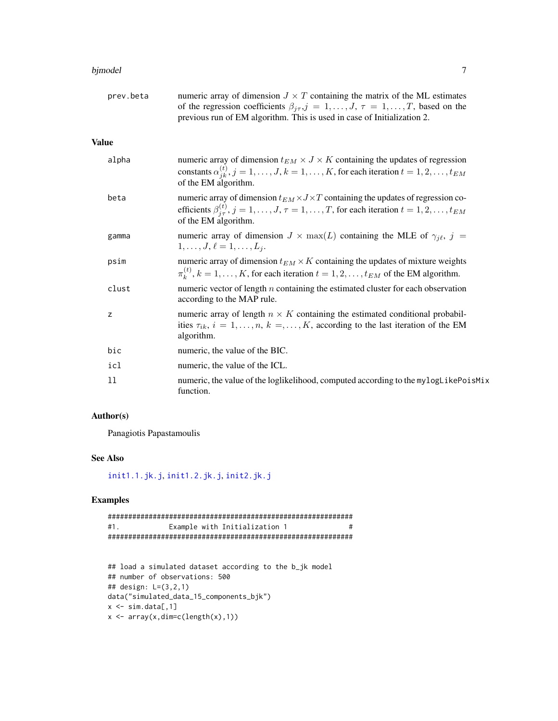### <span id="page-6-0"></span>bjmodel **7**

| prev.beta    | numeric array of dimension $J \times T$ containing the matrix of the ML estimates<br>of the regression coefficients $\beta_{j\tau}, j = 1, \dots, J, \tau = 1, \dots, T$ , based on the<br>previous run of EM algorithm. This is used in case of Initialization 2. |
|--------------|--------------------------------------------------------------------------------------------------------------------------------------------------------------------------------------------------------------------------------------------------------------------|
| <b>Value</b> |                                                                                                                                                                                                                                                                    |
| alpha        | numeric array of dimension $t_{EM} \times J \times K$ containing the updates of regression<br>constants $\alpha_{jk}^{(t)}$ , $j = 1, \ldots, J$ , $k = 1, \ldots, K$ , for each iteration $t = 1, 2, \ldots, t_{EM}$<br>of the EM algorithm.                      |
| beta         | numeric array of dimension $t_{EM} \times J \times T$ containing the updates of regression co-<br>efficients $\beta_{i\tau}^{(t)}$ , $j = 1, \ldots, J$ , $\tau = 1, \ldots, T$ , for each iteration $t = 1, 2, \ldots, t_{EM}$<br>of the EM algorithm.            |
| gamma        | numeric array of dimension $J \times \max(L)$ containing the MLE of $\gamma_{j\ell}, j =$<br>$1, \ldots, J, \ell = 1, \ldots, L_i.$                                                                                                                                |
| psim         | numeric array of dimension $t_{EM} \times K$ containing the updates of mixture weights<br>$\pi_k^{(t)}$ , $k = 1, , K$ , for each iteration $t = 1, 2, , t_{EM}$ of the EM algorithm.                                                                              |
| clust        | numeric vector of length $n$ containing the estimated cluster for each observation<br>according to the MAP rule.                                                                                                                                                   |
| z            | numeric array of length $n \times K$ containing the estimated conditional probabil-<br>ities $\tau_{ik}$ , $i = 1, \ldots, n$ , $k =, \ldots, K$ , according to the last iteration of the EM<br>algorithm.                                                         |
| bic          | numeric, the value of the BIC.                                                                                                                                                                                                                                     |
| icl          | numeric, the value of the ICL.                                                                                                                                                                                                                                     |
| 11           | numeric, the value of the loglikelihood, computed according to the mylogLikePoisMix<br>function.                                                                                                                                                                   |

### Author(s)

Panagiotis Papastamoulis

### See Also

[init1.1.jk.j](#page-11-1), [init1.2.jk.j](#page-13-1), [init2.jk.j](#page-17-1)

```
############################################################
#1. Example with Initialization 1 #
############################################################
```

```
## load a simulated dataset according to the b_jk model
## number of observations: 500
## design: L=(3,2,1)
data("simulated_data_15_components_bjk")
x \leq -\sin \cdot \frac{\pi}{4}x \leftarrow \text{array}(x, \text{dim=c}(\text{length}(x), 1))
```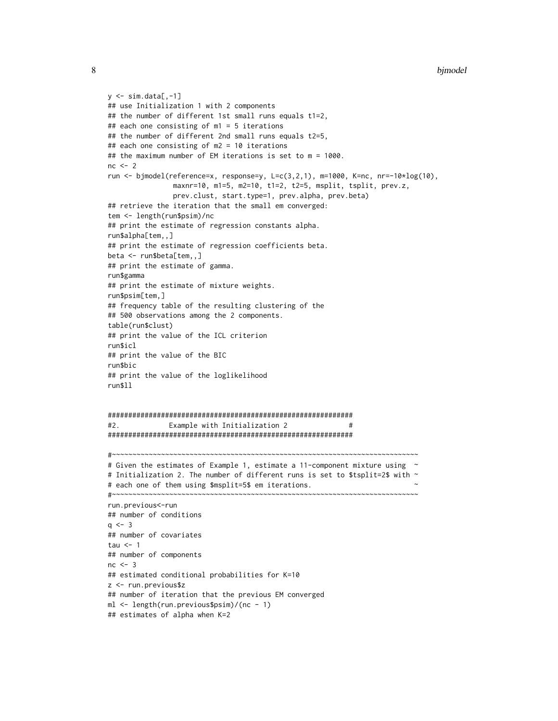```
y \le -\sin \cdot \frac{\pi}{2}## use Initialization 1 with 2 components
## the number of different 1st small runs equals t1=2,
## each one consisting of m1 = 5 iterations
## the number of different 2nd small runs equals t2=5,
## each one consisting of m2 = 10 iterations
## the maximum number of EM iterations is set to m = 1000.
nc < -2run <- bjmodel(reference=x, response=y, L=c(3,2,1), m=1000, K=nc, nr=-10*log(10),
                maxnr=10, m1=5, m2=10, t1=2, t2=5, msplit, tsplit, prev.z,
                prev.clust, start.type=1, prev.alpha, prev.beta)
## retrieve the iteration that the small em converged:
tem <- length(run$psim)/nc
## print the estimate of regression constants alpha.
run$alpha[tem,,]
## print the estimate of regression coefficients beta.
beta <- run$beta[tem,,]
## print the estimate of gamma.
run$gamma
## print the estimate of mixture weights.
run$psim[tem,]
## frequency table of the resulting clustering of the
## 500 observations among the 2 components.
table(run$clust)
## print the value of the ICL criterion
run$icl
## print the value of the BIC
run$bic
## print the value of the loglikelihood
run$ll
############################################################
#2. Example with Initialization 2 #
############################################################
#~~~~~~~~~~~~~~~~~~~~~~~~~~~~~~~~~~~~~~~~~~~~~~~~~~~~~~~~~~~~~~~~~~~~~~~~~~~
# Given the estimates of Example 1, estimate a 11-component mixture using \sim# Initialization 2. The number of different runs is set to $tsplit=2$ with \sim# each one of them using $msplit=5$ em iterations. ~
#~~~~~~~~~~~~~~~~~~~~~~~~~~~~~~~~~~~~~~~~~~~~~~~~~~~~~~~~~~~~~~~~~~~~~~~~~~~
run.previous<-run
## number of conditions
q \le -3## number of covariates
tau <-1## number of components
nc \leq -3## estimated conditional probabilities for K=10
z <- run.previous$z
## number of iteration that the previous EM converged
ml <- length(run.previous$psim)/(nc - 1)
## estimates of alpha when K=2
```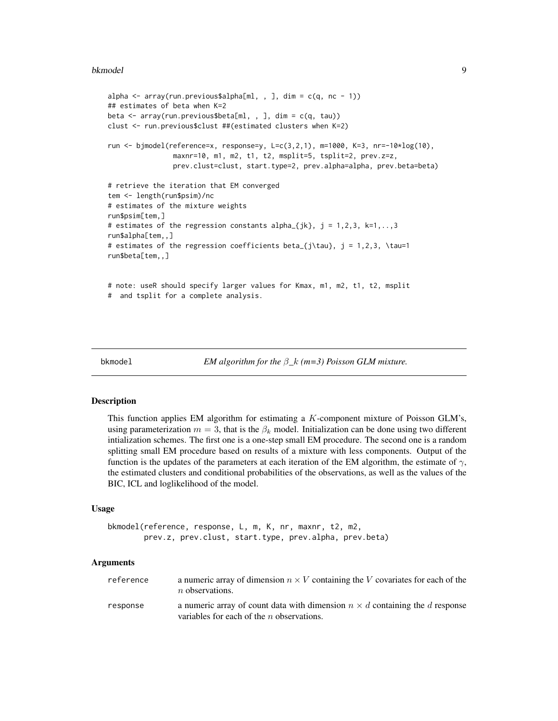#### <span id="page-8-0"></span>bkmodel **blocks and the set of the set of the set of the set of the set of the set of the set of the set of the set of the set of the set of the set of the set of the set of the set of the set of the set of the set of the**

```
alpha \leq array(run.previous$alpha[ml, , ], dim = c(q, nc - 1))
## estimates of beta when K=2
beta <- array(run.previous$beta[ml, , ], dim = c(q, tau))
clust <- run.previous$clust ##(estimated clusters when K=2)
run <- bjmodel(reference=x, response=y, L=c(3,2,1), m=1000, K=3, nr=-10*log(10),
                maxnr=10, m1, m2, t1, t2, msplit=5, tsplit=2, prev.z=z,
                prev.clust=clust, start.type=2, prev.alpha=alpha, prev.beta=beta)
# retrieve the iteration that EM converged
tem <- length(run$psim)/nc
# estimates of the mixture weights
run$psim[tem,]
# estimates of the regression constants alpha_{jk}, j = 1, 2, 3, k=1, \ldots, 3run$alpha[tem,,]
# estimates of the regression coefficients beta_{j\tau}, j = 1,2,3, \tau=1
run$beta[tem,,]
# note: useR should specify larger values for Kmax, m1, m2, t1, t2, msplit
# and tsplit for a complete analysis.
```
<span id="page-8-1"></span>

bkmodel *EM algorithm for the* β*\_*k *(m=3) Poisson GLM mixture.*

### Description

This function applies EM algorithm for estimating a K-component mixture of Poisson GLM's, using parameterization  $m = 3$ , that is the  $\beta_k$  model. Initialization can be done using two different intialization schemes. The first one is a one-step small EM procedure. The second one is a random splitting small EM procedure based on results of a mixture with less components. Output of the function is the updates of the parameters at each iteration of the EM algorithm, the estimate of  $\gamma$ , the estimated clusters and conditional probabilities of the observations, as well as the values of the BIC, ICL and loglikelihood of the model.

### Usage

```
bkmodel(reference, response, L, m, K, nr, maxnr, t2, m2,
       prev.z, prev.clust, start.type, prev.alpha, prev.beta)
```

| reference | a numeric array of dimension $n \times V$ containing the V covariates for each of the<br>$n$ observations.                         |
|-----------|------------------------------------------------------------------------------------------------------------------------------------|
| response  | a numeric array of count data with dimension $n \times d$ containing the d response<br>variables for each of the $n$ observations. |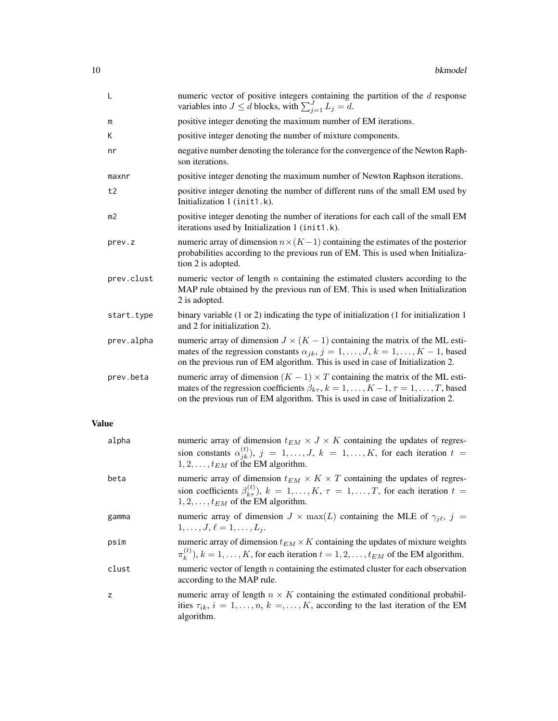| L            | numeric vector of positive integers containing the partition of the $d$ response<br>variables into $J \le d$ blocks, with $\sum_{j=1}^{J} L_j = d$ .                                                                                                                           |
|--------------|--------------------------------------------------------------------------------------------------------------------------------------------------------------------------------------------------------------------------------------------------------------------------------|
| m            | positive integer denoting the maximum number of EM iterations.                                                                                                                                                                                                                 |
| Κ            | positive integer denoting the number of mixture components.                                                                                                                                                                                                                    |
| nr           | negative number denoting the tolerance for the convergence of the Newton Raph-<br>son iterations.                                                                                                                                                                              |
| maxnr        | positive integer denoting the maximum number of Newton Raphson iterations.                                                                                                                                                                                                     |
| t2           | positive integer denoting the number of different runs of the small EM used by<br>Initialization 1 (init1.k).                                                                                                                                                                  |
| m2           | positive integer denoting the number of iterations for each call of the small EM<br>iterations used by Initialization 1 (init1.k).                                                                                                                                             |
| prev.z       | numeric array of dimension $n \times (K-1)$ containing the estimates of the posterior<br>probabilities according to the previous run of EM. This is used when Initializa-<br>tion 2 is adopted.                                                                                |
| prev.clust   | numeric vector of length $n$ containing the estimated clusters according to the<br>MAP rule obtained by the previous run of EM. This is used when Initialization<br>2 is adopted.                                                                                              |
| start.type   | binary variable $(1 \text{ or } 2)$ indicating the type of initialization $(1 \text{ for initialization } 1)$<br>and 2 for initialization 2).                                                                                                                                  |
| prev.alpha   | numeric array of dimension $J \times (K - 1)$ containing the matrix of the ML esti-<br>mates of the regression constants $\alpha_{jk}$ , $j = 1, \ldots, J$ , $k = 1, \ldots, K - 1$ , based<br>on the previous run of EM algorithm. This is used in case of Initialization 2. |
| prev.beta    | numeric array of dimension $(K - 1) \times T$ containing the matrix of the ML esti-<br>mates of the regression coefficients $\beta_{k\tau}$ , $k = 1, , K - 1, \tau = 1, , T$ , based<br>on the previous run of EM algorithm. This is used in case of Initialization 2.        |
| <b>Value</b> |                                                                                                                                                                                                                                                                                |
| alpha        | numeric array of dimension $t_{EM} \times J \times K$ containing the updates of regres-<br>sion constants $\alpha_{jk}^{(t)}$ , $j = 1, \ldots, J$ , $k = 1, \ldots, K$ , for each iteration $t =$<br>$1, 2, \ldots, t_{EM}$ of the EM algorithm.                              |
| beta         | numeric array of dimension $t_{EM} \times K \times T$ containing the updates of regres-<br>sion coefficients $\beta_{k\tau}^{(t)}$ , $k = 1, , K$ , $\tau = 1, , T$ , for each iteration $t =$<br>$1, 2, \ldots, t_{EM}$ of the EM algorithm.                                  |
| gamma        | numeric array of dimension $J \times \max(L)$ containing the MLE of $\gamma_{j\ell}, j =$<br>$1, \ldots, J, \ell = 1, \ldots, L_j.$                                                                                                                                            |
| psim         | numeric array of dimension $t_{EM} \times K$ containing the updates of mixture weights<br>$\pi_k^{(t)}$ , $k = 1, \ldots, K$ , for each iteration $t = 1, 2, \ldots, t_{EM}$ of the EM algorithm.                                                                              |
| clust        | numeric vector of length $n$ containing the estimated cluster for each observation<br>according to the MAP rule.                                                                                                                                                               |
| z            | numeric array of length $n \times K$ containing the estimated conditional probabil-<br>ities $\tau_{ik}$ , $i = 1, \ldots, n$ , $k =, \ldots, K$ , according to the last iteration of the EM                                                                                   |

algorithm.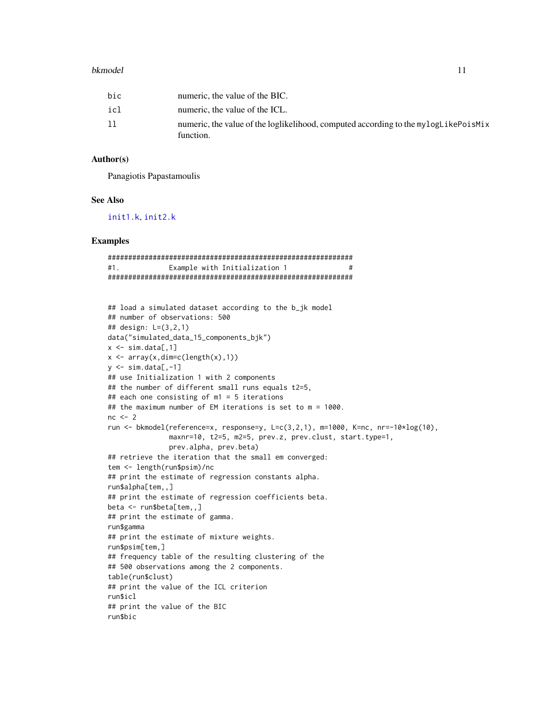#### <span id="page-10-0"></span>bkmodel and the state of the state of the state of the state of the state of the state of the state of the state of the state of the state of the state of the state of the state of the state of the state of the state of th

| bic | numeric, the value of the BIC.                                                                   |
|-----|--------------------------------------------------------------------------------------------------|
| icl | numeric, the value of the ICL.                                                                   |
| 11  | numeric, the value of the loglikelihood, computed according to the mylogLikePoisMix<br>function. |

### Author(s)

Panagiotis Papastamoulis

### See Also

[init1.k](#page-15-1), [init2.k](#page-19-1)

```
############################################################
#1. Example with Initialization 1 #
############################################################
```

```
## load a simulated dataset according to the b_jk model
## number of observations: 500
## design: L=(3,2,1)
data("simulated_data_15_components_bjk")
x \leq -\sin \cdot \frac{\pi}{6}, 1]
x \leftarrow \text{array}(x, \text{dim=c}(\text{length}(x), 1))y \le -\sin \theta. data[,-1]
## use Initialization 1 with 2 components
## the number of different small runs equals t2=5,
## each one consisting of m1 = 5 iterations
## the maximum number of EM iterations is set to m = 1000.
nc < -2run <- bkmodel(reference=x, response=y, L=c(3,2,1), m=1000, K=nc, nr=-10*log(10),
                maxnr=10, t2=5, m2=5, prev.z, prev.clust, start.type=1,
                prev.alpha, prev.beta)
## retrieve the iteration that the small em converged:
tem <- length(run$psim)/nc
## print the estimate of regression constants alpha.
run$alpha[tem,,]
## print the estimate of regression coefficients beta.
beta <- run$beta[tem,,]
## print the estimate of gamma.
run$gamma
## print the estimate of mixture weights.
run$psim[tem,]
## frequency table of the resulting clustering of the
## 500 observations among the 2 components.
table(run$clust)
## print the value of the ICL criterion
run$icl
## print the value of the BIC
run$bic
```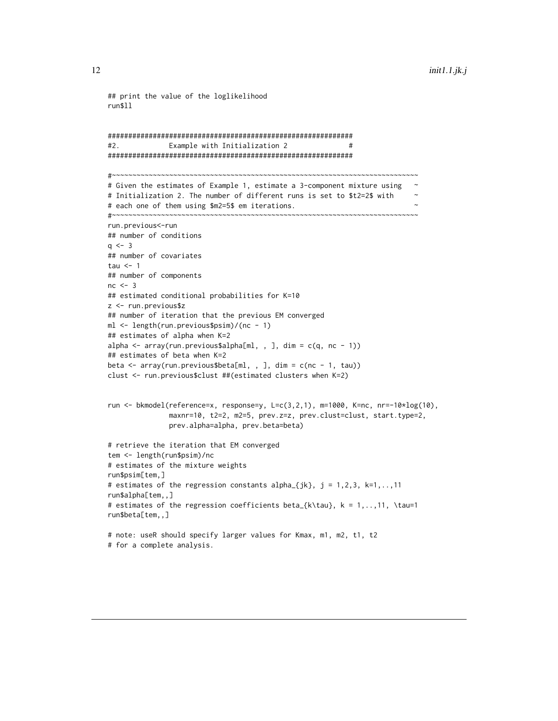```
## print the value of the loglikelihood
run$ll
############################################################
#2. Example with Initialization 2 #
############################################################
#~~~~~~~~~~~~~~~~~~~~~~~~~~~~~~~~~~~~~~~~~~~~~~~~~~~~~~~~~~~~~~~~~~~~~~~~~~~
# Given the estimates of Example 1, estimate a 3-component mixture using \sim# Initialization 2. The number of different runs is set to $t2=2$ with ~
# each one of them using $m2=5$ em iterations. ~
#~~~~~~~~~~~~~~~~~~~~~~~~~~~~~~~~~~~~~~~~~~~~~~~~~~~~~~~~~~~~~~~~~~~~~~~~~~~
run.previous<-run
## number of conditions
q \le -3## number of covariates
tau <-1## number of components
nc < -3## estimated conditional probabilities for K=10
z <- run.previous$z
## number of iteration that the previous EM converged
ml <- length(run.previous$psim)/(nc - 1)
## estimates of alpha when K=2
alpha \leq array(run.previous$alpha[ml, , ], dim = c(q, nc - 1))
## estimates of beta when K=2
beta <- array(run.previous$beta[ml, , ], dim = c(nc - 1, tau))
clust <- run.previous$clust ##(estimated clusters when K=2)
run <- bkmodel(reference=x, response=y, L=c(3,2,1), m=1000, K=nc, nr=-10*log(10),
               maxnr=10, t2=2, m2=5, prev.z=z, prev.clust=clust, start.type=2,
               prev.alpha=alpha, prev.beta=beta)
# retrieve the iteration that EM converged
tem <- length(run$psim)/nc
# estimates of the mixture weights
run$psim[tem,]
# estimates of the regression constants alpha<sub>-</sub>{jk}, j = 1,2,3, k=1,..,11
run$alpha[tem,,]
# estimates of the regression coefficients beta_{k\tau}, k = 1,..,11, \tau=1
run$beta[tem,,]
# note: useR should specify larger values for Kmax, m1, m2, t1, t2
# for a complete analysis.
```
<span id="page-11-0"></span>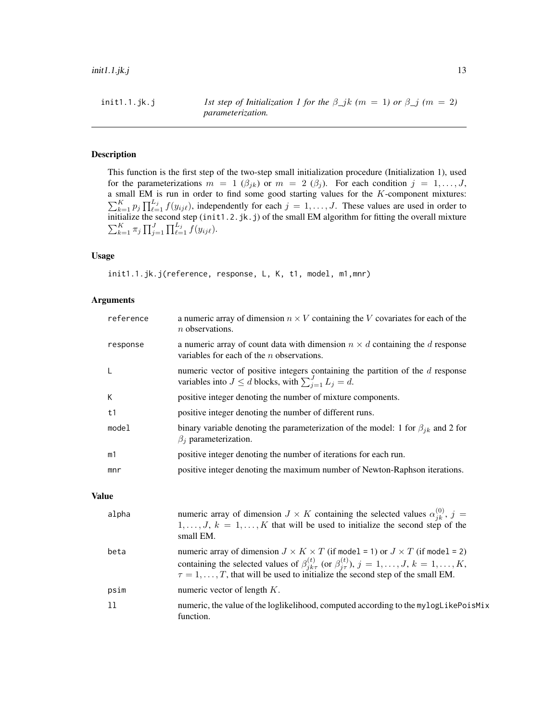### Description

This function is the first step of the two-step small initialization procedure (Initialization 1), used for the parameterizations  $m = 1$  ( $\beta_{jk}$ ) or  $m = 2$  ( $\beta_j$ ). For each condition  $j = 1, ..., J$ , a small EM is run in order to find some good starting values for the K-component mixtures:  $\sum_{k=1}^K p_j \prod_{\ell=1}^{L_j} f(y_{ij\ell})$ , independently for each  $j = 1, \ldots, J$ . These values are used in order to initialize the second step (init1.2.jk.j) of the small EM algorithm for fitting the overall mixture  $\sum_{k=1}^K \pi_j \prod_{j=1}^J \prod_{\ell=1}^{L_j} f(y_{ij\ell}).$ 

### Usage

init1.1.jk.j(reference, response, L, K, t1, model, m1,mnr)

### Arguments

| reference | a numeric array of dimension $n \times V$ containing the V covariates for each of the<br>$n$ observations.                                            |
|-----------|-------------------------------------------------------------------------------------------------------------------------------------------------------|
| response  | a numeric array of count data with dimension $n \times d$ containing the d response<br>variables for each of the $n$ observations.                    |
| L         | numeric vector of positive integers containing the partition of the $d$ response<br>variables into $J \leq d$ blocks, with $\sum_{i=1}^{J} L_i = d$ . |
| К         | positive integer denoting the number of mixture components.                                                                                           |
| t1        | positive integer denoting the number of different runs.                                                                                               |
| model     | binary variable denoting the parameterization of the model: 1 for $\beta_{ik}$ and 2 for<br>$\beta_i$ parameterization.                               |
| m1        | positive integer denoting the number of iterations for each run.                                                                                      |
| mnr       | positive integer denoting the maximum number of Newton-Raphson iterations.                                                                            |

### Value

| alpha | numeric array of dimension $J \times K$ containing the selected values $\alpha_{ik}^{(0)}$ , $j =$<br>$1, \ldots, J, k = 1, \ldots, K$ that will be used to initialize the second step of the<br>small EM.                                                                                                        |
|-------|-------------------------------------------------------------------------------------------------------------------------------------------------------------------------------------------------------------------------------------------------------------------------------------------------------------------|
| beta  | numeric array of dimension $J \times K \times T$ (if model = 1) or $J \times T$ (if model = 2)<br>containing the selected values of $\beta_{ik\tau}^{(t)}$ (or $\beta_{j\tau}^{(t)}$ ), $j = 1, , J$ , $k = 1, , K$ ,<br>$\tau = 1, \ldots, T$ , that will be used to initialize the second step of the small EM. |
| psim  | numeric vector of length $K$ .                                                                                                                                                                                                                                                                                    |
| -11   | numeric, the value of the loglikelihood, computed according to the mylogLikePoisMix<br>function.                                                                                                                                                                                                                  |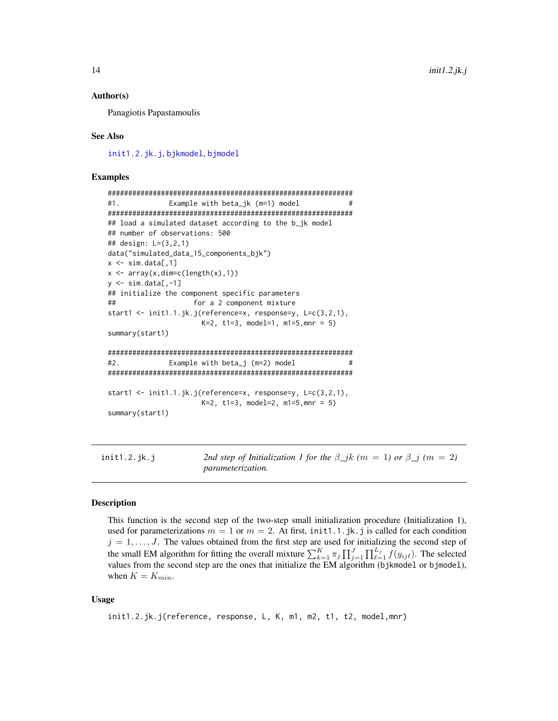#### <span id="page-13-0"></span>Author(s)

Panagiotis Papastamoulis

#### See Also

[init1.2.jk.j](#page-13-1), [bjkmodel](#page-1-1), [bjmodel](#page-4-1)

### Examples

```
############################################################
#1. Example with beta_jk (m=1) model #
############################################################
## load a simulated dataset according to the b_jk model
## number of observations: 500
## design: L=(3,2,1)
data("simulated_data_15_components_bjk")
x \leq -\sin \cdot \frac{\pi}{6}, 1]
x \leftarrow \text{array}(x, \text{dim}=\text{c}(\text{length}(x), 1))y \le -\sin \theta. data[,-1]
## initialize the component specific parameters
## for a 2 component mixture
start1 <- init1.1.jk.j(reference=x, response=y, L=c(3,2,1),
                       K=2, t1=3, model=1, m1=5,mnr = 5)
summary(start1)
############################################################
#2. Example with beta_j (m=2) model #
############################################################
start1 <- init1.1.jk.j(reference=x, response=y, L=c(3,2,1),
                       K=2, t1=3, model=2, m1=5, mnr = 5)
summary(start1)
```
<span id="page-13-1"></span>init1.2.jk.j 2nd step of Initialization 1 for the  $\beta_{1}jk$  ( $m = 1$ ) or  $\beta_{1}j$  ( $m = 2$ ) *parameterization.*

### **Description**

This function is the second step of the two-step small initialization procedure (Initialization 1), used for parameterizations  $m = 1$  or  $m = 2$ . At first, init1.1.jk.j is called for each condition  $j = 1, \ldots, J$ . The values obtained from the first step are used for initializing the second step of the small EM algorithm for fitting the overall mixture  $\sum_{k=1}^{K} \pi_j \prod_{j=1}^{J} \prod_{\ell=1}^{L_j} f(y_{ij\ell})$ . The selected values from the second step are the ones that initialize the EM algorithm (bjkmodel or bjmodel), when  $K = K_{min}$ .

### Usage

init1.2.jk.j(reference, response, L, K, m1, m2, t1, t2, model,mnr)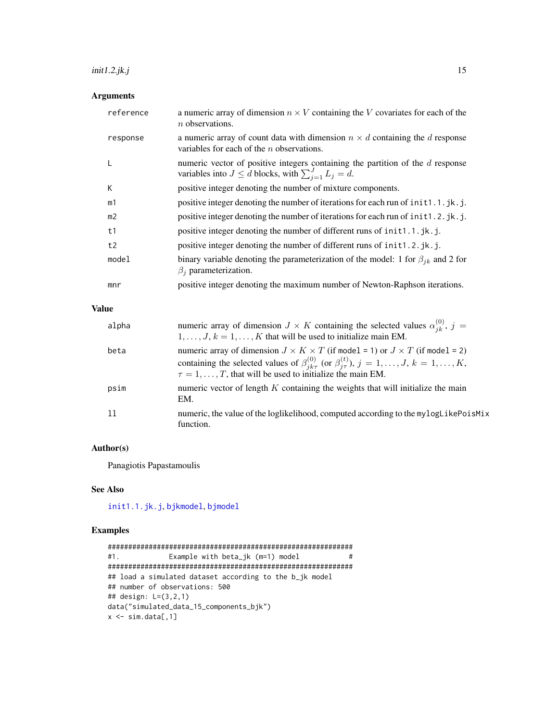### <span id="page-14-0"></span> $init1.2.jk.j$  15

### Arguments

| reference      | a numeric array of dimension $n \times V$ containing the V covariates for each of the<br>$n$ observations.                                           |
|----------------|------------------------------------------------------------------------------------------------------------------------------------------------------|
| response       | a numeric array of count data with dimension $n \times d$ containing the d response<br>variables for each of the $n$ observations.                   |
|                | numeric vector of positive integers containing the partition of the $d$ response<br>variables into $J \le d$ blocks, with $\sum_{i=1}^{J} L_i = d$ . |
| К              | positive integer denoting the number of mixture components.                                                                                          |
| m1             | positive integer denoting the number of iterations for each run of init1.1.jk.j.                                                                     |
| m <sub>2</sub> | positive integer denoting the number of iterations for each run of init1.2.jk.j.                                                                     |
| t1             | positive integer denoting the number of different runs of init1.1.jk.j.                                                                              |
| t2             | positive integer denoting the number of different runs of init1.2.jk.j.                                                                              |
| model          | binary variable denoting the parameterization of the model: 1 for $\beta_{ik}$ and 2 for<br>$\beta_i$ parameterization.                              |
| mnr            | positive integer denoting the maximum number of Newton-Raphson iterations.                                                                           |

### Value

| alpha | numeric array of dimension $J \times K$ containing the selected values $\alpha_{ik}^{(0)}$ , $j =$<br>$1, \ldots, J, k = 1, \ldots, K$ that will be used to initialize main EM.                                                                                                               |
|-------|-----------------------------------------------------------------------------------------------------------------------------------------------------------------------------------------------------------------------------------------------------------------------------------------------|
| beta  | numeric array of dimension $J \times K \times T$ (if model = 1) or $J \times T$ (if model = 2)<br>containing the selected values of $\beta_{ik\tau}^{(0)}$ (or $\beta_{i\tau}^{(t)}$ ), $j = 1, , J$ , $k = 1, , K$ ,<br>$\tau = 1, \ldots, T$ , that will be used to initialize the main EM. |
| psim  | numeric vector of length $K$ containing the weights that will initialize the main<br>EM.                                                                                                                                                                                                      |
| -11   | numeric, the value of the loglikelihood, computed according to the mylogLikePoisMix<br>function.                                                                                                                                                                                              |

### Author(s)

Panagiotis Papastamoulis

### See Also

[init1.1.jk.j](#page-11-1), [bjkmodel](#page-1-1), [bjmodel](#page-4-1)

```
############################################################
#1. Example with beta_jk (m=1) model #
############################################################
## load a simulated dataset according to the b_jk model
## number of observations: 500
## design: L=(3,2,1)
data("simulated_data_15_components_bjk")
x \leftarrow \text{sim.data[, 1]}
```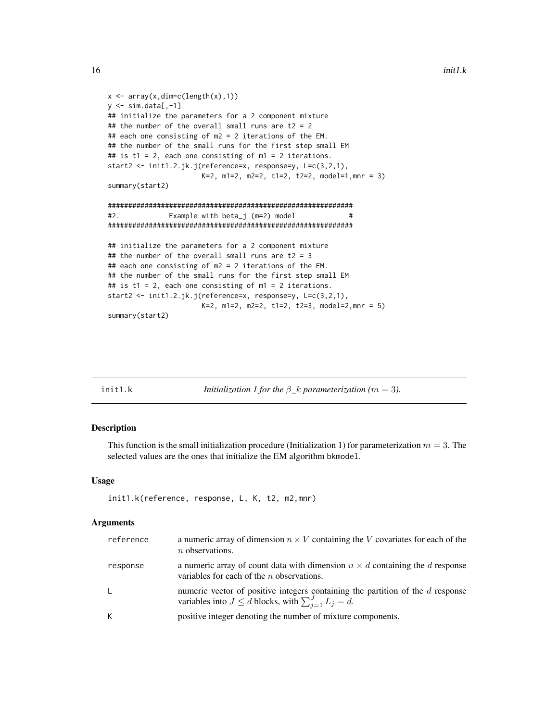```
x \leftarrow \text{array}(x, \text{dim} = c(\text{length}(x), 1))y \le -\sin.\text{data}[,-1]
## initialize the parameters for a 2 component mixture
## the number of the overall small runs are t2 = 2## each one consisting of m2 = 2 iterations of the EM.
## the number of the small runs for the first step small EM
## is t1 = 2, each one consisting of m1 = 2 iterations.
start2 <- init1.2.jk.j(reference=x, response=y, L=c(3,2,1),
                       K=2, m1=2, m2=2, t1=2, t2=2, model=1,mnr = 3)
summary(start2)
############################################################
#2. Example with beta_j (m=2) model #
############################################################
## initialize the parameters for a 2 component mixture
## the number of the overall small runs are t2 = 3## each one consisting of m2 = 2 iterations of the EM.
## the number of the small runs for the first step small EM
## is t1 = 2, each one consisting of m1 = 2 iterations.
start2 <- init1.2.jk.j(reference=x, response=y, L=c(3,2,1),
                       K=2, m1=2, m2=2, t1=2, t2=3, model=2,mnr = 5)
summary(start2)
```
<span id="page-15-1"></span>init1.k *Initialization 1 for the* β*\_*k *parameterization (*m = 3*).*

### Description

This function is the small initialization procedure (Initialization 1) for parameterization  $m = 3$ . The selected values are the ones that initialize the EM algorithm bkmodel.

### Usage

```
init1.k(reference, response, L, K, t2, m2,mnr)
```

| reference | a numeric array of dimension $n \times V$ containing the V covariates for each of the<br>$n$ observations.                                           |
|-----------|------------------------------------------------------------------------------------------------------------------------------------------------------|
| response  | a numeric array of count data with dimension $n \times d$ containing the d response<br>variables for each of the $n$ observations.                   |
| L.        | numeric vector of positive integers containing the partition of the $d$ response<br>variables into $J \le d$ blocks, with $\sum_{i=1}^{J} L_i = d$ . |
| K         | positive integer denoting the number of mixture components.                                                                                          |

<span id="page-15-0"></span>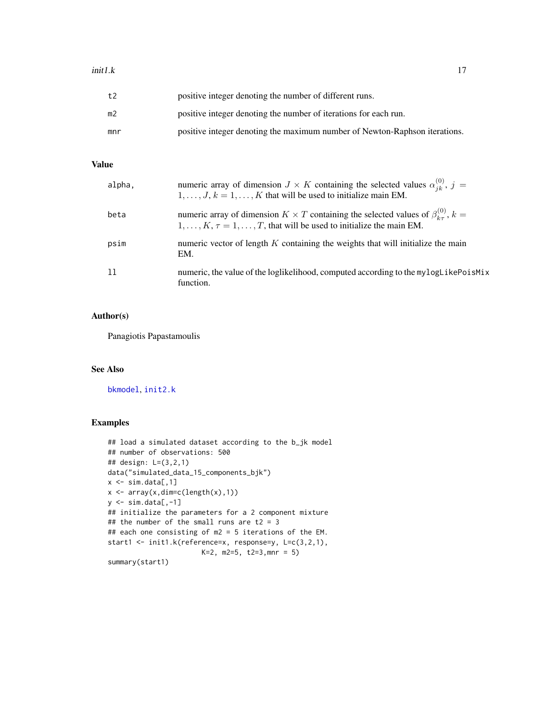### <span id="page-16-0"></span> $init1.k$  17

| t2  | positive integer denoting the number of different runs.                    |
|-----|----------------------------------------------------------------------------|
| m2  | positive integer denoting the number of iterations for each run.           |
| mnr | positive integer denoting the maximum number of Newton-Raphson iterations. |

### Value

| alpha, | numeric array of dimension $J \times K$ containing the selected values $\alpha_{ik}^{(0)}$ , $j =$<br>$1, \ldots, J, k = 1, \ldots, K$ that will be used to initialize main EM.                  |
|--------|--------------------------------------------------------------------------------------------------------------------------------------------------------------------------------------------------|
| beta   | numeric array of dimension $K \times T$ containing the selected values of $\beta_{k_{\tau}}^{(0)}$ , $k =$<br>$1, \ldots, K, \tau = 1, \ldots, T$ , that will be used to initialize the main EM. |
| psim   | numeric vector of length $K$ containing the weights that will initialize the main<br>EM.                                                                                                         |
| 11     | numeric, the value of the loglikelihood, computed according to the mylogLikePoisMix<br>function.                                                                                                 |

### Author(s)

Panagiotis Papastamoulis

### See Also

[bkmodel](#page-8-1), [init2.k](#page-19-1)

```
## load a simulated dataset according to the b_jk model
## number of observations: 500
## design: L=(3,2,1)
data("simulated_data_15_components_bjk")
x \leq -\sin \cdot \frac{\pi}{2}x \leftarrow \text{array}(x, \text{dim=c}(\text{length}(x), 1))y \leftarrow \text{sim.data}[, -1]## initialize the parameters for a 2 component mixture
## the number of the small runs are t2 = 3## each one consisting of m2 = 5 iterations of the EM.
start1 <- init1.k(reference=x, response=y, L=c(3,2,1),
                         K=2, m2=5, t2=3,mnr = 5)
summary(start1)
```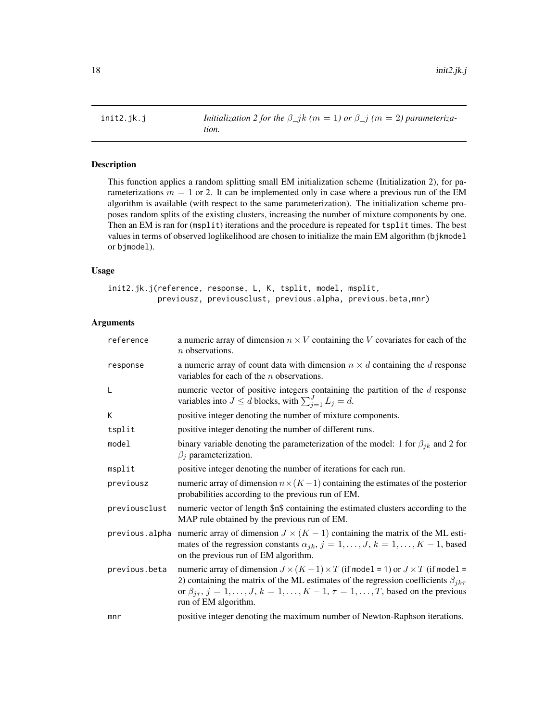<span id="page-17-1"></span><span id="page-17-0"></span>init2.jk.j *Initialization 2 for the*  $\beta_{j}k$  *(m = 1) or*  $\beta_{j}$  *(m = 2) parameterization.*

### Description

This function applies a random splitting small EM initialization scheme (Initialization 2), for parameterizations  $m = 1$  or 2. It can be implemented only in case where a previous run of the EM algorithm is available (with respect to the same parameterization). The initialization scheme proposes random splits of the existing clusters, increasing the number of mixture components by one. Then an EM is ran for (msplit) iterations and the procedure is repeated for tsplit times. The best values in terms of observed loglikelihood are chosen to initialize the main EM algorithm (bjkmodel or bjmodel).

#### Usage

init2.jk.j(reference, response, L, K, tsplit, model, msplit, previousz, previousclust, previous.alpha, previous.beta,mnr)

| reference     | a numeric array of dimension $n \times V$ containing the V covariates for each of the<br>$n$ observations.                                                                                                                                                                                                                         |
|---------------|------------------------------------------------------------------------------------------------------------------------------------------------------------------------------------------------------------------------------------------------------------------------------------------------------------------------------------|
| response      | a numeric array of count data with dimension $n \times d$ containing the d response<br>variables for each of the $n$ observations.                                                                                                                                                                                                 |
| L             | numeric vector of positive integers containing the partition of the $d$ response<br>variables into $J \leq d$ blocks, with $\sum_{i=1}^{J} L_j = d$ .                                                                                                                                                                              |
| K             | positive integer denoting the number of mixture components.                                                                                                                                                                                                                                                                        |
| tsplit        | positive integer denoting the number of different runs.                                                                                                                                                                                                                                                                            |
| model         | binary variable denoting the parameterization of the model: 1 for $\beta_{jk}$ and 2 for<br>$\beta_i$ parameterization.                                                                                                                                                                                                            |
| msplit        | positive integer denoting the number of iterations for each run.                                                                                                                                                                                                                                                                   |
| previousz     | numeric array of dimension $n \times (K-1)$ containing the estimates of the posterior<br>probabilities according to the previous run of EM.                                                                                                                                                                                        |
| previousclust | numeric vector of length \$n\$ containing the estimated clusters according to the<br>MAP rule obtained by the previous run of EM.                                                                                                                                                                                                  |
|               | previous alpha numeric array of dimension $J \times (K - 1)$ containing the matrix of the ML esti-<br>mates of the regression constants $\alpha_{jk}$ , $j = 1, \ldots, J$ , $k = 1, \ldots, K - 1$ , based<br>on the previous run of EM algorithm.                                                                                |
| previous.beta | numeric array of dimension $J \times (K-1) \times T$ (if model = 1) or $J \times T$ (if model =<br>2) containing the matrix of the ML estimates of the regression coefficients $\beta_{jk\tau}$<br>or $\beta_{j\tau}, j = 1, \ldots, J, k = 1, \ldots, K - 1, \tau = 1, \ldots, T$ , based on the previous<br>run of EM algorithm. |
| mnr           | positive integer denoting the maximum number of Newton-Raphson iterations.                                                                                                                                                                                                                                                         |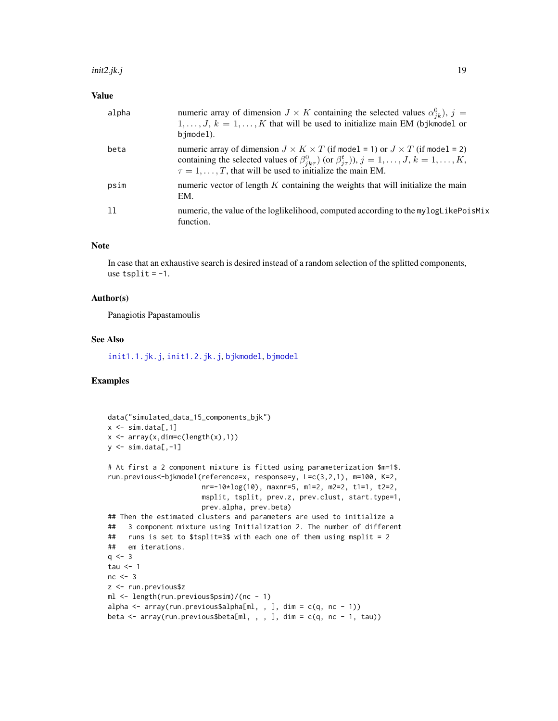### <span id="page-18-0"></span>Value

| alpha | numeric array of dimension $J \times K$ containing the selected values $\alpha_{jk}^0$ , $j =$<br>$1, \ldots, J, k = 1, \ldots, K$ that will be used to initialize main EM (bjkmodel or<br>bimodel).                                                                                |
|-------|-------------------------------------------------------------------------------------------------------------------------------------------------------------------------------------------------------------------------------------------------------------------------------------|
| beta  | numeric array of dimension $J \times K \times T$ (if model = 1) or $J \times T$ (if model = 2)<br>containing the selected values of $\beta_{jk\tau}^0$ (or $\beta_{i\tau}^t$ )), $j = 1, , J, k = 1, , K$ ,<br>$\tau = 1, \ldots, T$ , that will be used to initialize the main EM. |
| psim  | numeric vector of length $K$ containing the weights that will initialize the main<br>EM.                                                                                                                                                                                            |
| ו ו   | numeric, the value of the loglikelihood, computed according to the mylogLikePoisMix<br>function.                                                                                                                                                                                    |

### Note

In case that an exhaustive search is desired instead of a random selection of the splitted components, use  $tsplit = -1$ .

### Author(s)

Panagiotis Papastamoulis

### See Also

[init1.1.jk.j](#page-11-1), [init1.2.jk.j](#page-13-1), [bjkmodel](#page-1-1), [bjmodel](#page-4-1)

```
data("simulated_data_15_components_bjk")
x \leftarrow \text{sim.data}[, 1]x \leftarrow \text{array}(x, \text{dim=c}(\text{length}(x), 1))y \leftarrow \text{sim.data}[,-1]
# At first a 2 component mixture is fitted using parameterization $m=1$.
run.previous<-bjkmodel(reference=x, response=y, L=c(3,2,1), m=100, K=2,
                        nr=-10*log(10), maxnr=5, m1=2, m2=2, t1=1, t2=2,
                        msplit, tsplit, prev.z, prev.clust, start.type=1,
                        prev.alpha, prev.beta)
## Then the estimated clusters and parameters are used to initialize a
## 3 component mixture using Initialization 2. The number of different
## runs is set to $tsplit=3$ with each one of them using msplit = 2
## em iterations.
q \le -3tau <-1nc < -3z <- run.previous$z
ml <- length(run.previous$psim)/(nc - 1)
alpha <- array(run.previous$alpha[ml, , ], dim = c(q, nc - 1))
beta \leq array(run.previous$beta[ml, , , ], dim = c(q, nc - 1, tau))
```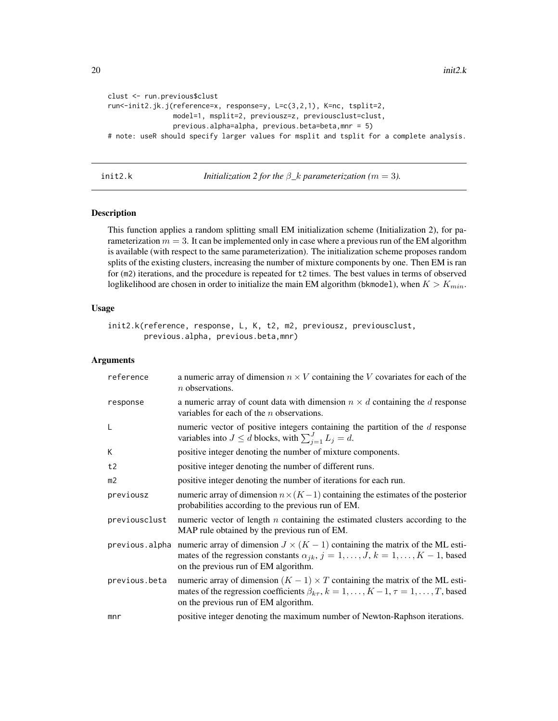```
clust <- run.previous$clust
run<-init2.jk.j(reference=x, response=y, L=c(3,2,1), K=nc, tsplit=2,
                model=1, msplit=2, previousz=z, previousclust=clust,
                previous.alpha=alpha, previous.beta=beta,mnr = 5)
# note: useR should specify larger values for msplit and tsplit for a complete analysis.
```
<span id="page-19-1"></span>init2.k *Initialization 2 for the* β*\_*k *parameterization (*m = 3*).*

### Description

This function applies a random splitting small EM initialization scheme (Initialization 2), for parameterization  $m = 3$ . It can be implemented only in case where a previous run of the EM algorithm is available (with respect to the same parameterization). The initialization scheme proposes random splits of the existing clusters, increasing the number of mixture components by one. Then EM is ran for (m2) iterations, and the procedure is repeated for t2 times. The best values in terms of observed loglikelihood are chosen in order to initialize the main EM algorithm (bkmodel), when  $K > K_{min}$ .

### Usage

```
init2.k(reference, response, L, K, t2, m2, previousz, previousclust,
       previous.alpha, previous.beta,mnr)
```

| reference      | a numeric array of dimension $n \times V$ containing the V covariates for each of the<br>$n$ observations.                                                                                                                           |
|----------------|--------------------------------------------------------------------------------------------------------------------------------------------------------------------------------------------------------------------------------------|
| response       | a numeric array of count data with dimension $n \times d$ containing the d response<br>variables for each of the $n$ observations.                                                                                                   |
| L              | numeric vector of positive integers containing the partition of the $d$ response<br>variables into $J \le d$ blocks, with $\sum_{i=1}^{J} L_i = d$ .                                                                                 |
| K              | positive integer denoting the number of mixture components.                                                                                                                                                                          |
| t2             | positive integer denoting the number of different runs.                                                                                                                                                                              |
| m <sub>2</sub> | positive integer denoting the number of iterations for each run.                                                                                                                                                                     |
| previousz      | numeric array of dimension $n \times (K-1)$ containing the estimates of the posterior<br>probabilities according to the previous run of EM.                                                                                          |
| previousclust  | numeric vector of length $n$ containing the estimated clusters according to the<br>MAP rule obtained by the previous run of EM.                                                                                                      |
| previous.alpha | numeric array of dimension $J \times (K - 1)$ containing the matrix of the ML esti-<br>mates of the regression constants $\alpha_{jk}$ , $j = 1, \ldots, J$ , $k = 1, \ldots, K - 1$ , based<br>on the previous run of EM algorithm. |
| previous.beta  | numeric array of dimension $(K - 1) \times T$ containing the matrix of the ML esti-<br>mates of the regression coefficients $\beta_{k\tau}$ , $k = 1, , K - 1, \tau = 1, , T$ , based<br>on the previous run of EM algorithm.        |
| mnr            | positive integer denoting the maximum number of Newton-Raphson iterations.                                                                                                                                                           |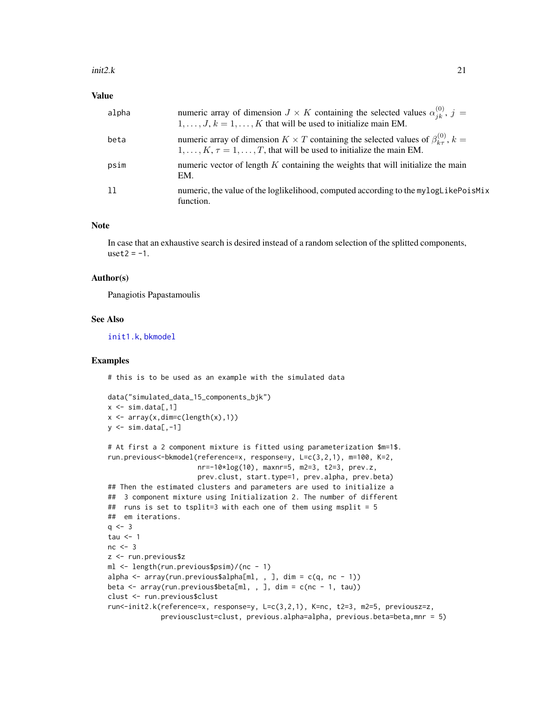### <span id="page-20-0"></span>Value

| alpha | numeric array of dimension $J \times K$ containing the selected values $\alpha_{jk}^{(0)}$ , $j =$<br>$1, \ldots, J, k = 1, \ldots, K$ that will be used to initialize main EM.                  |
|-------|--------------------------------------------------------------------------------------------------------------------------------------------------------------------------------------------------|
| beta  | numeric array of dimension $K \times T$ containing the selected values of $\beta_{k_{\tau}}^{(0)}$ , $k =$<br>$1, \ldots, K, \tau = 1, \ldots, T$ , that will be used to initialize the main EM. |
| psim  | numeric vector of length $K$ containing the weights that will initialize the main<br>EM.                                                                                                         |
| ו ו   | numeric, the value of the loglikelihood, computed according to the mylogLikePoisMix<br>function.                                                                                                 |

### Note

In case that an exhaustive search is desired instead of a random selection of the splitted components,  $uset2 = -1$ .

### Author(s)

Panagiotis Papastamoulis

### See Also

[init1.k](#page-15-1), [bkmodel](#page-8-1)

### Examples

# this is to be used as an example with the simulated data

```
data("simulated_data_15_components_bjk")
x \leftarrow \text{sim.data}[, 1]x \leftarrow \text{array}(x, \text{dim=c}(\text{length}(x), 1))y \le -\sin.\text{data}[,-1]
```

```
# At first a 2 component mixture is fitted using parameterization $m=1$.
run.previous<-bkmodel(reference=x, response=y, L=c(3,2,1), m=100, K=2,
                     nr=-10*log(10), maxnr=5, m2=3, t2=3, prev.z,
                     prev.clust, start.type=1, prev.alpha, prev.beta)
## Then the estimated clusters and parameters are used to initialize a
## 3 component mixture using Initialization 2. The number of different
## runs is set to tsplit=3 with each one of them using msplit = 5## em iterations.
q \le -3tau <-1nc < -3z <- run.previous$z
ml <- length(run.previous$psim)/(nc - 1)
alpha <- array(run.previous$alpha[ml, , ], dim = c(q, nc - 1))
beta <- array(run.previous$beta[ml, , ], dim = c(nc - 1, tau))
clust <- run.previous$clust
run<-init2.k(reference=x, response=y, L=c(3,2,1), K=nc, t2=3, m2=5, previousz=z,
             previousclust=clust, previous.alpha=alpha, previous.beta=beta,mnr = 5)
```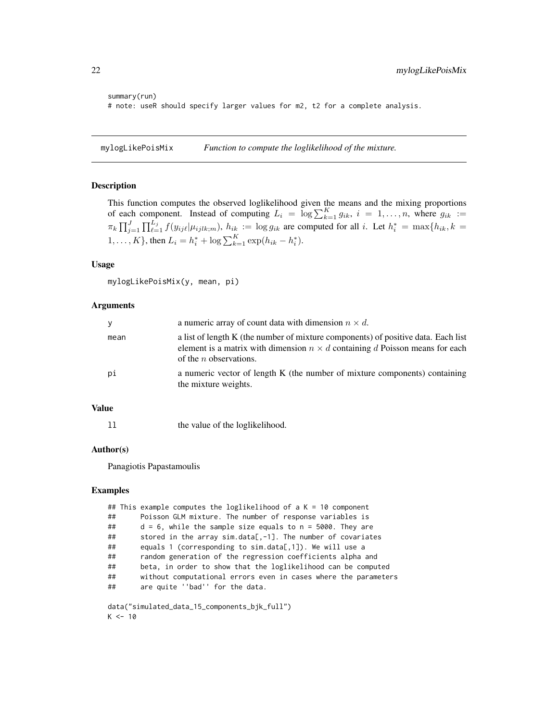```
summary(run)
# note: useR should specify larger values for m2, t2 for a complete analysis.
```
<span id="page-21-1"></span>mylogLikePoisMix *Function to compute the loglikelihood of the mixture.*

### Description

This function computes the observed loglikelihood given the means and the mixing proportions of each component. Instead of computing  $L_i = \log \sum_{k=1}^{K} g_{ik}$ ,  $i = 1, \ldots, n$ , where  $g_{ik}$ :  $\pi_k \prod_{j=1}^J \prod_{\ell=1}^{L_j} f(y_{ij\ell} | \mu_{ijlk;m}), h_{ik} := \log g_{ik}$  are computed for all i. Let  $h_i^* = \max\{h_{ik}, k = 1\}$ 1, ..., K }, then  $L_i = h_i^* + \log \sum_{k=1}^K \exp(h_{ik} - h_i^*)$ .

### Usage

mylogLikePoisMix(y, mean, pi)

### Arguments

| У    | a numeric array of count data with dimension $n \times d$ .                                                                                                                                          |
|------|------------------------------------------------------------------------------------------------------------------------------------------------------------------------------------------------------|
| mean | a list of length K (the number of mixture components) of positive data. Each list<br>element is a matrix with dimension $n \times d$ containing d Poisson means for each<br>of the $n$ observations. |
| рi   | a numeric vector of length K (the number of mixture components) containing<br>the mixture weights.                                                                                                   |

### Value

ll the value of the loglikelihood.

### Author(s)

Panagiotis Papastamoulis

### Examples

|    | ## This example computes the loglikelihood of a $K = 10$ component |
|----|--------------------------------------------------------------------|
| ## | Poisson GLM mixture. The number of response variables is           |
| ## | $d = 6$ , while the sample size equals to $n = 5000$ . They are    |
| ## | stored in the array sim.data[, $-1$ ]. The number of covariates    |
| ## | equals 1 (corresponding to sim.data[,1]). We will use a            |
| ## | random generation of the regression coefficients alpha and         |
| ## | beta, in order to show that the loglikelihood can be computed      |
| ## | without computational errors even in cases where the parameters    |
| ## | are quite ''bad'' for the data.                                    |
|    |                                                                    |
|    | shake (National akashista of Companion to the Call NN)             |

data("simulated\_data\_15\_components\_bjk\_full")  $K < -10$ 

<span id="page-21-0"></span>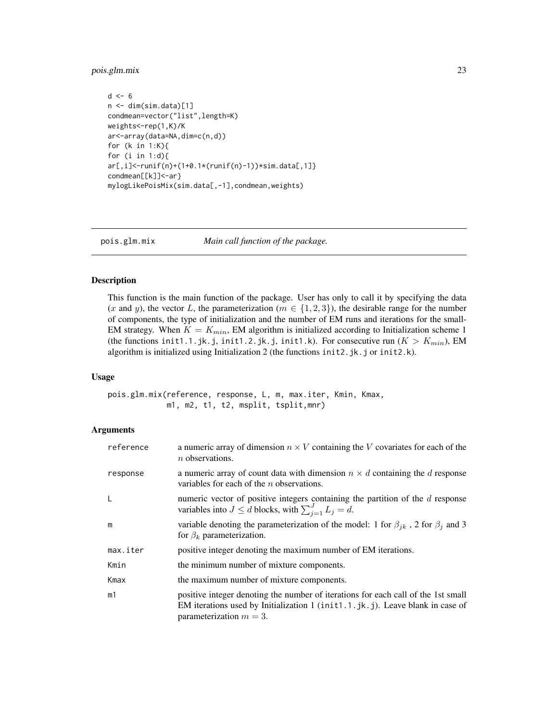### <span id="page-22-0"></span>pois.glm.mix 23

```
d \leq -6n <- dim(sim.data)[1]
condmean=vector("list",length=K)
weights<-rep(1,K)/K
ar<-array(data=NA,dim=c(n,d))
for (k in 1:K){
for (i in 1:d){
ar[,i]<-runif(n)+(1+0.1*(runif(n)-1))*sim.data[,1]}
condmean[[k]]<-ar}
mylogLikePoisMix(sim.data[,-1],condmean,weights)
```
<span id="page-22-1"></span>pois.glm.mix *Main call function of the package.*

### Description

This function is the main function of the package. User has only to call it by specifying the data (x and y), the vector L, the parameterization ( $m \in \{1, 2, 3\}$ ), the desirable range for the number of components, the type of initialization and the number of EM runs and iterations for the small-EM strategy. When  $K = K_{min}$ , EM algorithm is initialized according to Initialization scheme 1 (the functions init1.1.jk.j, init1.2.jk.j, init1.k). For consecutive run  $(K > K_{min})$ , EM algorithm is initialized using Initialization 2 (the functions init2.jk.j or init2.k).

### Usage

pois.glm.mix(reference, response, L, m, max.iter, Kmin, Kmax, m1, m2, t1, t2, msplit, tsplit,mnr)

| reference | a numeric array of dimension $n \times V$ containing the V covariates for each of the<br>$n$ observations.                                                                                       |
|-----------|--------------------------------------------------------------------------------------------------------------------------------------------------------------------------------------------------|
| response  | a numeric array of count data with dimension $n \times d$ containing the d response<br>variables for each of the $n$ observations.                                                               |
| L         | numeric vector of positive integers containing the partition of the $d$ response<br>variables into $J \le d$ blocks, with $\sum_{i=1}^{J} L_j = d$ .                                             |
| m         | variable denoting the parameterization of the model: 1 for $\beta_{ik}$ , 2 for $\beta_i$ and 3<br>for $\beta_k$ parameterization.                                                               |
| max.iter  | positive integer denoting the maximum number of EM iterations.                                                                                                                                   |
| Kmin      | the minimum number of mixture components.                                                                                                                                                        |
| Kmax      | the maximum number of mixture components.                                                                                                                                                        |
| m1        | positive integer denoting the number of iterations for each call of the 1st small<br>EM iterations used by Initialization 1 (init1.1.jk.j). Leave blank in case of<br>parameterization $m = 3$ . |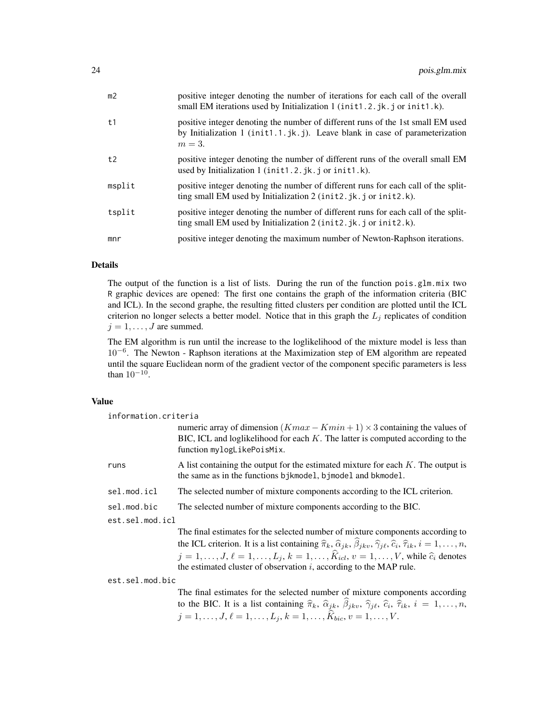| m <sub>2</sub> | positive integer denoting the number of iterations for each call of the overall<br>small EM iterations used by Initialization 1 (init1.2.jk.j or init1.k).                |
|----------------|---------------------------------------------------------------------------------------------------------------------------------------------------------------------------|
| t1             | positive integer denoting the number of different runs of the 1st small EM used<br>by Initialization 1 (init1.1.jk.j). Leave blank in case of parameterization<br>$m=3$ . |
| t2             | positive integer denoting the number of different runs of the overall small EM<br>used by Initialization 1 (init1.2.jk.j or init1.k).                                     |
| msplit         | positive integer denoting the number of different runs for each call of the split-<br>ting small EM used by Initialization 2 (init2.jk.j or init2.k).                     |
| tsplit         | positive integer denoting the number of different runs for each call of the split-<br>ting small EM used by Initialization 2 (init2.jk.j or init2.k).                     |
| mnr            | positive integer denoting the maximum number of Newton-Raphson iterations.                                                                                                |

### Details

The output of the function is a list of lists. During the run of the function pois.glm.mix two R graphic devices are opened: The first one contains the graph of the information criteria (BIC and ICL). In the second graphe, the resulting fitted clusters per condition are plotted until the ICL criterion no longer selects a better model. Notice that in this graph the  $L_i$  replicates of condition  $j = 1, \ldots, J$  are summed.

The EM algorithm is run until the increase to the loglikelihood of the mixture model is less than 10<sup>−</sup><sup>6</sup> . The Newton - Raphson iterations at the Maximization step of EM algorithm are repeated until the square Euclidean norm of the gradient vector of the component specific parameters is less than  $10^{-10}$ .

### Value

| information.criteria |                                                                                                                                                                                                                                                                                                                                                                                                                         |
|----------------------|-------------------------------------------------------------------------------------------------------------------------------------------------------------------------------------------------------------------------------------------------------------------------------------------------------------------------------------------------------------------------------------------------------------------------|
|                      | numeric array of dimension $(Kmax - Kmin + 1) \times 3$ containing the values of<br>BIC, ICL and loglikelihood for each $K$ . The latter is computed according to the<br>function mylogLikePoisMix.                                                                                                                                                                                                                     |
| runs                 | A list containing the output for the estimated mixture for each $K$ . The output is<br>the same as in the functions bjkmodel, bjmodel and bkmodel.                                                                                                                                                                                                                                                                      |
| sel.mod.icl          | The selected number of mixture components according to the ICL criterion.                                                                                                                                                                                                                                                                                                                                               |
| sel.mod.bic          | The selected number of mixture components according to the BIC.                                                                                                                                                                                                                                                                                                                                                         |
| est.sel.mod.icl      |                                                                                                                                                                                                                                                                                                                                                                                                                         |
|                      | The final estimates for the selected number of mixture components according to<br>the ICL criterion. It is a list containing $\hat{\pi}_k$ , $\hat{\alpha}_{jk}$ , $\hat{\beta}_{jkv}$ , $\hat{\gamma}_{j\ell}$ , $\hat{\epsilon}_i$ , $\hat{\tau}_{ik}$ , $i = 1, \dots, n$ ,<br>$\mathcal{L}$ , and $\mathcal{L}$ , and $\mathcal{L}$ , and $\mathcal{L}$ , and $\mathcal{L}$ , and $\mathcal{L}$ , and $\mathcal{L}$ |

the ICL criterion. It is a list containing  $\hat{\pi}_k$ ,  $\hat{\alpha}_{jk}$ ,  $\beta_{jkv}$ ,  $\hat{\gamma}_{j\ell}$ ,  $\hat{c}_i$ ,  $\hat{\tau}_{ik}$ ,  $i = 1, ..., n$ ,  $j = 1, \ldots, J, \ell = 1, \ldots, L_j, k = 1, \ldots, K_{icl}, v = 1, \ldots, V$ , while  $\hat{c}_i$  denotes the estimated cluster of observation  $i$ , according to the MAP rule the estimated cluster of observation  $i$ , according to the MAP rule.

est.sel.mod.bic

The final estimates for the selected number of mixture components according to the BIC. It is a list containing  $\hat{\pi}_k$ ,  $\hat{\alpha}_{jk}$ ,  $\beta_{jkv}$ ,  $\hat{\gamma}_{j\ell}$ ,  $\hat{c}_i$ ,  $\hat{\tau}_{ik}$ ,  $i = 1, ..., n$ ,  $j = 1, \ldots, J, \ell = 1, \ldots, L_j, k = 1, \ldots, \widehat{K}_{bic}, v = 1, \ldots, V.$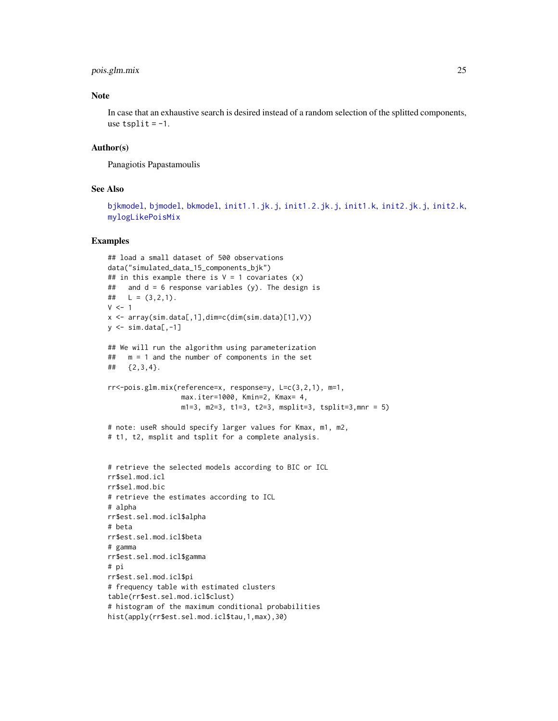### <span id="page-24-0"></span>pois.glm.mix 25

### Note

In case that an exhaustive search is desired instead of a random selection of the splitted components, use  $tsplit = -1$ .

### Author(s)

Panagiotis Papastamoulis

### See Also

[bjkmodel](#page-1-1), [bjmodel](#page-4-1), [bkmodel](#page-8-1), [init1.1.jk.j](#page-11-1), [init1.2.jk.j](#page-13-1), [init1.k](#page-15-1), [init2.jk.j](#page-17-1), [init2.k](#page-19-1), [mylogLikePoisMix](#page-21-1)

```
## load a small dataset of 500 observations
data("simulated_data_15_components_bjk")
## in this example there is V = 1 covariates (x)## and d = 6 response variables (y). The design is
## L = (3, 2, 1).
V < -1x <- array(sim.data[,1],dim=c(dim(sim.data)[1],V))
y \leftarrow \text{sim.data}[,-1]
## We will run the algorithm using parameterization
## m = 1 and the number of components in the set
## {2,3,4}.
rr<-pois.glm.mix(reference=x, response=y, L=c(3,2,1), m=1,
                  max.iter=1000, Kmin=2, Kmax= 4,
                  m1=3, m2=3, t1=3, t2=3, msplit=3, tsplit=3,mnr = 5)
# note: useR should specify larger values for Kmax, m1, m2,
# t1, t2, msplit and tsplit for a complete analysis.
# retrieve the selected models according to BIC or ICL
rr$sel.mod.icl
rr$sel.mod.bic
# retrieve the estimates according to ICL
# alpha
rr$est.sel.mod.icl$alpha
# beta
rr$est.sel.mod.icl$beta
# gamma
rr$est.sel.mod.icl$gamma
# pi
rr$est.sel.mod.icl$pi
# frequency table with estimated clusters
table(rr$est.sel.mod.icl$clust)
# histogram of the maximum conditional probabilities
hist(apply(rr$est.sel.mod.icl$tau,1,max),30)
```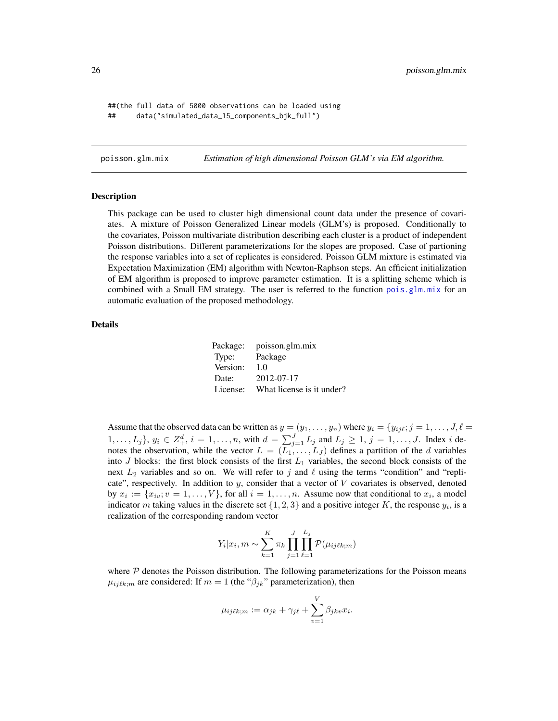<span id="page-25-0"></span>##(the full data of 5000 observations can be loaded using ## data("simulated\_data\_15\_components\_bjk\_full")

poisson.glm.mix *Estimation of high dimensional Poisson GLM's via EM algorithm.*

#### **Description**

This package can be used to cluster high dimensional count data under the presence of covariates. A mixture of Poisson Generalized Linear models (GLM's) is proposed. Conditionally to the covariates, Poisson multivariate distribution describing each cluster is a product of independent Poisson distributions. Different parameterizations for the slopes are proposed. Case of partioning the response variables into a set of replicates is considered. Poisson GLM mixture is estimated via Expectation Maximization (EM) algorithm with Newton-Raphson steps. An efficient initialization of EM algorithm is proposed to improve parameter estimation. It is a splitting scheme which is combined with a Small EM strategy. The user is referred to the function [pois.glm.mix](#page-22-1) for an automatic evaluation of the proposed methodology.

### Details

| Package: | poisson.glm.mix           |
|----------|---------------------------|
| Type:    | Package                   |
| Version: | 1.0                       |
| Date:    | 2012-07-17                |
| License: | What license is it under? |

Assume that the observed data can be written as  $y = (y_1, \ldots, y_n)$  where  $y_i = \{y_{ij}\ell; j = 1, \ldots, J, \ell = 1\}$  $1, \ldots, L_j$ ,  $y_i \in Z_+^d$ ,  $i = 1, \ldots, n$ , with  $d = \sum_{j=1}^J L_j$  and  $L_j \ge 1$ ,  $j = 1, \ldots, J$ . Index i denotes the observation, while the vector  $L = (L_1, \ldots, L_J)$  defines a partition of the d variables into J blocks: the first block consists of the first  $L_1$  variables, the second block consists of the next  $L_2$  variables and so on. We will refer to j and  $\ell$  using the terms "condition" and "replicate", respectively. In addition to  $y$ , consider that a vector of  $V$  covariates is observed, denoted by  $x_i := \{x_{iv}; v = 1, \ldots, V\}$ , for all  $i = 1, \ldots, n$ . Assume now that conditional to  $x_i$ , a model indicator m taking values in the discrete set  $\{1, 2, 3\}$  and a positive integer K, the response  $y_i$ , is a realization of the corresponding random vector

$$
Y_i | x_i, m \sim \sum_{k=1}^K \pi_k \prod_{j=1}^J \prod_{\ell=1}^{L_j} \mathcal{P}(\mu_{ijkk;m})
$$

where  $P$  denotes the Poisson distribution. The following parameterizations for the Poisson means  $\mu_{ijkkm}$  are considered: If  $m = 1$  (the " $\beta_{jk}$ " parameterization), then

$$
\mu_{ijkkm} := \alpha_{jk} + \gamma_{j\ell} + \sum_{v=1}^{V} \beta_{jkv} x_i.
$$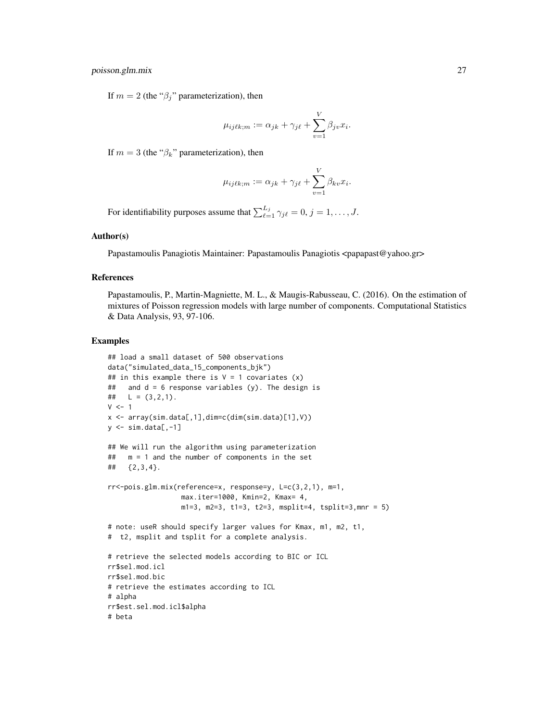If  $m = 2$  (the " $\beta_i$ " parameterization), then

$$
\mu_{ij\ell k;m} := \alpha_{jk} + \gamma_{j\ell} + \sum_{v=1}^{V} \beta_{jv} x_i.
$$

If  $m = 3$  (the " $\beta_k$ " parameterization), then

$$
\mu_{ij\ell k;m} := \alpha_{jk} + \gamma_{j\ell} + \sum_{v=1}^{V} \beta_{kv} x_i.
$$

For identifiability purposes assume that  $\sum_{\ell=1}^{L_j} \gamma_{j\ell} = 0, j = 1, \ldots, J$ .

### Author(s)

Papastamoulis Panagiotis Maintainer: Papastamoulis Panagiotis <papapast@yahoo.gr>

### References

Papastamoulis, P., Martin-Magniette, M. L., & Maugis-Rabusseau, C. (2016). On the estimation of mixtures of Poisson regression models with large number of components. Computational Statistics & Data Analysis, 93, 97-106.

```
## load a small dataset of 500 observations
data("simulated_data_15_components_bjk")
## in this example there is V = 1 covariates (x)## and d = 6 response variables (y). The design is
## L = (3, 2, 1).
V < -1x <- array(sim.data[,1],dim=c(dim(sim.data)[1],V))
y \le -\sin \theta. data[,-1]
## We will run the algorithm using parameterization
## m = 1 and the number of components in the set
## {2,3,4}.
rr<-pois.glm.mix(reference=x, response=y, L=c(3,2,1), m=1,
                  max.iter=1000, Kmin=2, Kmax= 4,
                  m1=3, m2=3, t1=3, t2=3, msplit=4, tsplit=3, mnr = 5)
# note: useR should specify larger values for Kmax, m1, m2, t1,
# t2, msplit and tsplit for a complete analysis.
# retrieve the selected models according to BIC or ICL
rr$sel.mod.icl
rr$sel.mod.bic
# retrieve the estimates according to ICL
# alpha
rr$est.sel.mod.icl$alpha
# beta
```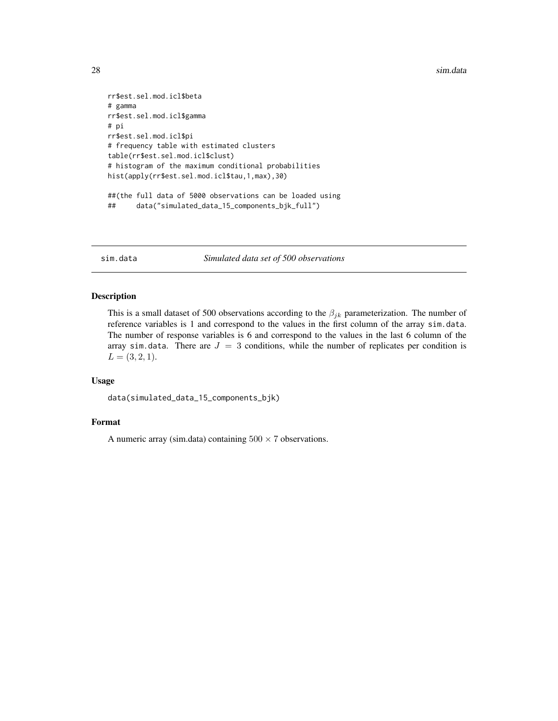<span id="page-27-0"></span>28 sim.data and the state of the state of the state of the state of the state of the state of the state of the state of the state of the state of the state of the state of the state of the state of the state of the state o

```
rr$est.sel.mod.icl$beta
# gamma
rr$est.sel.mod.icl$gamma
# pi
rr$est.sel.mod.icl$pi
# frequency table with estimated clusters
table(rr$est.sel.mod.icl$clust)
# histogram of the maximum conditional probabilities
hist(apply(rr$est.sel.mod.icl$tau,1,max),30)
##(the full data of 5000 observations can be loaded using
## data("simulated_data_15_components_bjk_full")
```
sim.data *Simulated data set of 500 observations*

### Description

This is a small dataset of 500 observations according to the  $\beta_{jk}$  parameterization. The number of reference variables is 1 and correspond to the values in the first column of the array sim.data. The number of response variables is 6 and correspond to the values in the last 6 column of the array sim.data. There are  $J = 3$  conditions, while the number of replicates per condition is  $L = (3, 2, 1).$ 

### Usage

```
data(simulated_data_15_components_bjk)
```
### Format

A numeric array (sim.data) containing  $500 \times 7$  observations.